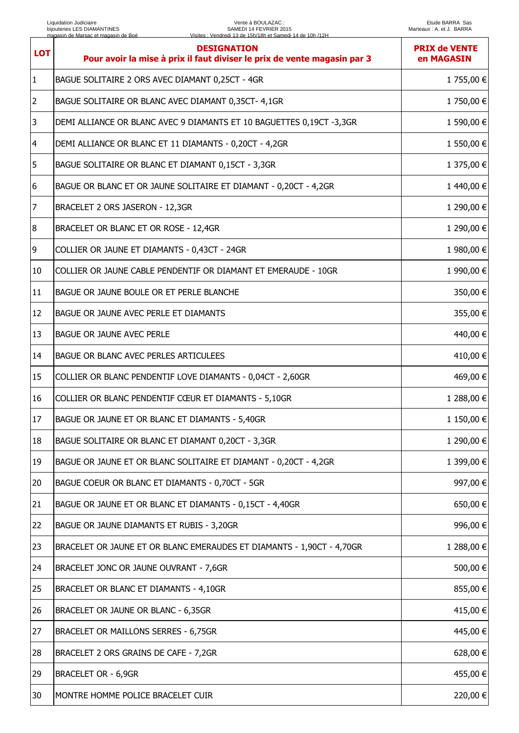## Vente à BOULAZAC : SAMEDI 14 FEVRIER 2015 Visites : Vendredi 13 de 15h/18h et Samedi 14 de 10h /12H

| <b>LOT</b>     | <b>DESIGNATION</b><br>Pour avoir la mise à prix il faut diviser le prix de vente magasin par 3 | <b>PRIX de VENTE</b><br>en MAGASIN |
|----------------|------------------------------------------------------------------------------------------------|------------------------------------|
| $\mathbf{1}$   | BAGUE SOLITAIRE 2 ORS AVEC DIAMANT 0,25CT - 4GR                                                | 1 755,00 €                         |
| $\overline{2}$ | BAGUE SOLITAIRE OR BLANC AVEC DIAMANT 0,35CT- 4,1GR                                            | 1750,00 €                          |
| 3              | DEMI ALLIANCE OR BLANC AVEC 9 DIAMANTS ET 10 BAGUETTES 0,19CT -3,3GR                           | 1 590,00 €                         |
| $\overline{4}$ | DEMI ALLIANCE OR BLANC ET 11 DIAMANTS - 0,20CT - 4,2GR                                         | 1 550,00 €                         |
| 5              | BAGUE SOLITAIRE OR BLANC ET DIAMANT 0,15CT - 3,3GR                                             | 1 375,00 €                         |
| 6              | BAGUE OR BLANC ET OR JAUNE SOLITAIRE ET DIAMANT - 0,20CT - 4,2GR                               | 1440,00 €                          |
| 7              | BRACELET 2 ORS JASERON - 12,3GR                                                                | 1 290,00 €                         |
| 8              | BRACELET OR BLANC ET OR ROSE - 12,4GR                                                          | 1 290,00 €                         |
| 9              | COLLIER OR JAUNE ET DIAMANTS - 0,43CT - 24GR                                                   | 1 980,00 €                         |
| 10             | COLLIER OR JAUNE CABLE PENDENTIF OR DIAMANT ET EMERAUDE - 10GR                                 | 1 990,00 €                         |
| 11             | BAGUE OR JAUNE BOULE OR ET PERLE BLANCHE                                                       | 350,00 €                           |
| 12             | BAGUE OR JAUNE AVEC PERLE ET DIAMANTS                                                          | 355,00 €                           |
| 13             | <b>BAGUE OR JAUNE AVEC PERLE</b>                                                               | 440,00 €                           |
| $ 14\rangle$   | <b>BAGUE OR BLANC AVEC PERLES ARTICULEES</b>                                                   | 410,00 €                           |
| 15             | COLLIER OR BLANC PENDENTIF LOVE DIAMANTS - 0,04CT - 2,60GR                                     | 469,00 €                           |
| 16             | COLLIER OR BLANC PENDENTIF CŒUR ET DIAMANTS - 5,10GR                                           | 1 288,00 €                         |
| 17             | BAGUE OR JAUNE ET OR BLANC ET DIAMANTS - 5,40GR                                                | 1 150,00 €                         |
| 18             | BAGUE SOLITAIRE OR BLANC ET DIAMANT 0,20CT - 3,3GR                                             | 1 290,00 €                         |
| 19             | BAGUE OR JAUNE ET OR BLANC SOLITAIRE ET DIAMANT - 0,20CT - 4,2GR                               | 1 399,00 €                         |
| 20             | BAGUE COEUR OR BLANC ET DIAMANTS - 0,70CT - 5GR                                                | 997,00 €                           |
| 21             | BAGUE OR JAUNE ET OR BLANC ET DIAMANTS - 0,15CT - 4,40GR                                       | 650,00 €                           |
| 22             | BAGUE OR JAUNE DIAMANTS ET RUBIS - 3,20GR                                                      | 996,00 €                           |
| 23             | BRACELET OR JAUNE ET OR BLANC EMERAUDES ET DIAMANTS - 1,90CT - 4,70GR                          | 1 288,00 €                         |
| 24             | BRACELET JONC OR JAUNE OUVRANT - 7,6GR                                                         | 500,00 €                           |
| 25             | BRACELET OR BLANC ET DIAMANTS - 4,10GR                                                         | 855,00 €                           |
| 26             | BRACELET OR JAUNE OR BLANC - 6,35GR                                                            | 415,00 €                           |
| 27             | BRACELET OR MAILLONS SERRES - 6,75GR                                                           | 445,00 €                           |
| 28             | BRACELET 2 ORS GRAINS DE CAFE - 7,2GR                                                          | 628,00 €                           |
| 29             | <b>BRACELET OR - 6,9GR</b>                                                                     | 455,00 €                           |
| 30             | MONTRE HOMME POLICE BRACELET CUIR                                                              | 220,00 €                           |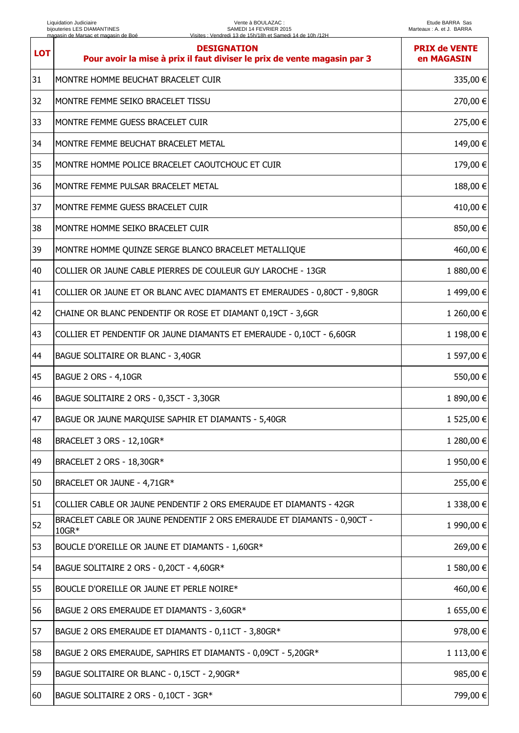| <b>LOT</b> | <b>DESIGNATION</b><br>Pour avoir la mise à prix il faut diviser le prix de vente magasin par 3 | <b>PRIX de VENTE</b><br>en MAGASIN |
|------------|------------------------------------------------------------------------------------------------|------------------------------------|
| 31         | MONTRE HOMME BEUCHAT BRACELET CUIR                                                             | 335,00 €                           |
| 32         | MONTRE FEMME SEIKO BRACELET TISSU                                                              | 270,00 €                           |
| 33         | MONTRE FEMME GUESS BRACELET CUIR                                                               | 275,00 €                           |
| 34         | MONTRE FEMME BEUCHAT BRACELET METAL                                                            | 149,00 €                           |
| 35         | MONTRE HOMME POLICE BRACELET CAOUTCHOUC ET CUIR                                                | 179,00 €                           |
| 36         | MONTRE FEMME PULSAR BRACELET METAL                                                             | 188,00 €                           |
| 37         | MONTRE FEMME GUESS BRACELET CUIR                                                               | 410,00 €                           |
| 38         | MONTRE HOMME SEIKO BRACELET CUIR                                                               | 850,00 €                           |
| 39         | MONTRE HOMME QUINZE SERGE BLANCO BRACELET METALLIQUE                                           | 460,00 €                           |
| 40         | COLLIER OR JAUNE CABLE PIERRES DE COULEUR GUY LAROCHE - 13GR                                   | 1 880,00 €                         |
| 41         | COLLIER OR JAUNE ET OR BLANC AVEC DIAMANTS ET EMERAUDES - 0,80CT - 9,80GR                      | 1499,00 €                          |
| 42         | CHAINE OR BLANC PENDENTIF OR ROSE ET DIAMANT 0,19CT - 3,6GR                                    | 1 260,00 €                         |
| 43         | COLLIER ET PENDENTIF OR JAUNE DIAMANTS ET EMERAUDE - 0,10CT - 6,60GR                           | 1 198,00 €                         |
| 44         | BAGUE SOLITAIRE OR BLANC - 3,40GR                                                              | 1 597,00 €                         |
| 45         | BAGUE 2 ORS - 4,10GR                                                                           | 550,00 €                           |
| 46         | BAGUE SOLITAIRE 2 ORS - 0,35CT - 3,30GR                                                        | 1 890,00 €                         |
| 47         | BAGUE OR JAUNE MARQUISE SAPHIR ET DIAMANTS - 5,40GR                                            | 1 525,00 €                         |
| 48         | BRACELET 3 ORS - 12,10GR*                                                                      | 1 280,00 €                         |
| 49         | BRACELET 2 ORS - 18,30GR*                                                                      | 1 950,00 €                         |
| 50         | BRACELET OR JAUNE - 4,71GR*                                                                    | 255,00 €                           |
| 51         | COLLIER CABLE OR JAUNE PENDENTIF 2 ORS EMERAUDE ET DIAMANTS - 42GR                             | 1 338,00 €                         |
| 52         | BRACELET CABLE OR JAUNE PENDENTIF 2 ORS EMERAUDE ET DIAMANTS - 0,90CT -<br>10GR*               | 1 990,00 €                         |
| 53         | BOUCLE D'OREILLE OR JAUNE ET DIAMANTS - 1,60GR*                                                | 269,00 €                           |
| 54         | BAGUE SOLITAIRE 2 ORS - 0,20CT - 4,60GR*                                                       | 1 580,00 €                         |
| 55         | BOUCLE D'OREILLE OR JAUNE ET PERLE NOIRE*                                                      | 460,00 €                           |
| 56         | BAGUE 2 ORS EMERAUDE ET DIAMANTS - 3,60GR*                                                     | 1 655,00 €                         |
| 57         | BAGUE 2 ORS EMERAUDE ET DIAMANTS - 0,11CT - 3,80GR*                                            | 978,00 €                           |
| 58         | BAGUE 2 ORS EMERAUDE, SAPHIRS ET DIAMANTS - 0,09CT - 5,20GR*                                   | 1 113,00 €                         |
| 59         | BAGUE SOLITAIRE OR BLANC - 0,15CT - 2,90GR*                                                    | 985,00 €                           |
| 60         | BAGUE SOLITAIRE 2 ORS - 0,10CT - 3GR*                                                          | 799,00 €                           |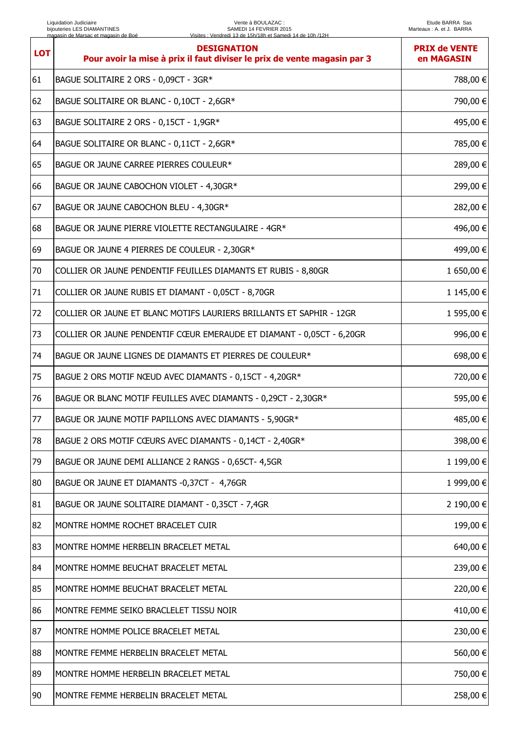| <b>LOT</b> | <b>DESIGNATION</b><br>Pour avoir la mise à prix il faut diviser le prix de vente magasin par 3 | <b>PRIX de VENTE</b><br>en MAGASIN |
|------------|------------------------------------------------------------------------------------------------|------------------------------------|
| 61         | BAGUE SOLITAIRE 2 ORS - 0,09CT - 3GR*                                                          | 788,00 €                           |
| 62         | BAGUE SOLITAIRE OR BLANC - 0,10CT - 2,6GR*                                                     | 790,00 €                           |
| 63         | BAGUE SOLITAIRE 2 ORS - 0,15CT - 1,9GR*                                                        | 495,00 €                           |
| 64         | BAGUE SOLITAIRE OR BLANC - 0,11CT - 2,6GR*                                                     | 785,00 €                           |
| 65         | BAGUE OR JAUNE CARREE PIERRES COULEUR*                                                         | 289,00 €                           |
| 66         | BAGUE OR JAUNE CABOCHON VIOLET - 4,30GR*                                                       | 299,00 €                           |
| 67         | BAGUE OR JAUNE CABOCHON BLEU - 4,30GR*                                                         | 282,00 €                           |
| 68         | BAGUE OR JAUNE PIERRE VIOLETTE RECTANGULAIRE - 4GR*                                            | 496,00 €                           |
| 69         | BAGUE OR JAUNE 4 PIERRES DE COULEUR - 2,30GR*                                                  | 499,00 €                           |
| 70         | COLLIER OR JAUNE PENDENTIF FEUILLES DIAMANTS ET RUBIS - 8,80GR                                 | 1 650,00 €                         |
| 71         | COLLIER OR JAUNE RUBIS ET DIAMANT - 0,05CT - 8,70GR                                            | 1 145,00 €                         |
| 72         | COLLIER OR JAUNE ET BLANC MOTIFS LAURIERS BRILLANTS ET SAPHIR - 12GR                           | 1 595,00 €                         |
| 73         | COLLIER OR JAUNE PENDENTIF CŒUR EMERAUDE ET DIAMANT - 0,05CT - 6,20GR                          | 996,00 €                           |
| 74         | BAGUE OR JAUNE LIGNES DE DIAMANTS ET PIERRES DE COULEUR*                                       | 698,00 €                           |
| 75         | BAGUE 2 ORS MOTIF NŒUD AVEC DIAMANTS - 0,15CT - 4,20GR*                                        | 720,00 €                           |
| 76         | BAGUE OR BLANC MOTIF FEUILLES AVEC DIAMANTS - 0,29CT - 2,30GR*                                 | 595,00 €                           |
| 77         | BAGUE OR JAUNE MOTIF PAPILLONS AVEC DIAMANTS - 5,90GR*                                         | 485,00 €                           |
| 78         | BAGUE 2 ORS MOTIF CŒURS AVEC DIAMANTS - 0,14CT - 2,40GR*                                       | 398,00 €                           |
| 79         | BAGUE OR JAUNE DEMI ALLIANCE 2 RANGS - 0,65CT- 4,5GR                                           | 1 199,00 €                         |
| 80         | BAGUE OR JAUNE ET DIAMANTS -0,37CT - 4,76GR                                                    | 1 999,00 €                         |
| 81         | BAGUE OR JAUNE SOLITAIRE DIAMANT - 0,35CT - 7,4GR                                              | 2 190,00 €                         |
| 82         | MONTRE HOMME ROCHET BRACELET CUIR                                                              | 199,00 €                           |
| 83         | MONTRE HOMME HERBELIN BRACELET METAL                                                           | 640,00 €                           |
| 84         | MONTRE HOMME BEUCHAT BRACELET METAL                                                            | 239,00 €                           |
| 85         | MONTRE HOMME BEUCHAT BRACELET METAL                                                            | 220,00 €                           |
| 86         | MONTRE FEMME SEIKO BRACLELET TISSU NOIR                                                        | 410,00€                            |
| 87         | MONTRE HOMME POLICE BRACELET METAL                                                             | 230,00 €                           |
| 88         | MONTRE FEMME HERBELIN BRACELET METAL                                                           | 560,00 €                           |
| 89         | MONTRE HOMME HERBELIN BRACELET METAL                                                           | 750,00 €                           |
| 90         | MONTRE FEMME HERBELIN BRACELET METAL                                                           | 258,00 €                           |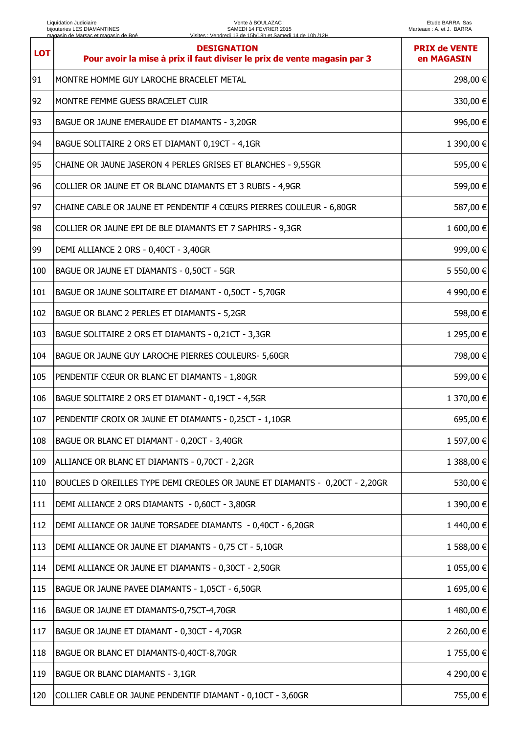| <b>LOT</b> | <b>DESIGNATION</b><br>Pour avoir la mise à prix il faut diviser le prix de vente magasin par 3 | <b>PRIX de VENTE</b><br>en MAGASIN |
|------------|------------------------------------------------------------------------------------------------|------------------------------------|
| 91         | MONTRE HOMME GUY LAROCHE BRACELET METAL                                                        | 298,00 €                           |
| 92         | MONTRE FEMME GUESS BRACELET CUIR                                                               | 330,00 €                           |
| 93         | BAGUE OR JAUNE EMERAUDE ET DIAMANTS - 3,20GR                                                   | 996,00€                            |
| 94         | BAGUE SOLITAIRE 2 ORS ET DIAMANT 0,19CT - 4,1GR                                                | 1 390,00 €                         |
| 95         | CHAINE OR JAUNE JASERON 4 PERLES GRISES ET BLANCHES - 9,55GR                                   | 595,00 €                           |
| 96         | COLLIER OR JAUNE ET OR BLANC DIAMANTS ET 3 RUBIS - 4,9GR                                       | 599,00 €                           |
| 97         | CHAINE CABLE OR JAUNE ET PENDENTIF 4 CŒURS PIERRES COULEUR - 6,80GR                            | 587,00 €                           |
| 98         | COLLIER OR JAUNE EPI DE BLE DIAMANTS ET 7 SAPHIRS - 9,3GR                                      | 1 600,00 €                         |
| 99         | DEMI ALLIANCE 2 ORS - 0,40CT - 3,40GR                                                          | 999,00€                            |
| 100        | BAGUE OR JAUNE ET DIAMANTS - 0,50CT - 5GR                                                      | 5 550,00 €                         |
| 101        | BAGUE OR JAUNE SOLITAIRE ET DIAMANT - 0,50CT - 5,70GR                                          | 4 990,00 €                         |
| 102        | BAGUE OR BLANC 2 PERLES ET DIAMANTS - 5,2GR                                                    | 598,00 €                           |
| 103        | BAGUE SOLITAIRE 2 ORS ET DIAMANTS - 0,21CT - 3,3GR                                             | 1 295,00 €                         |
| 104        | BAGUE OR JAUNE GUY LAROCHE PIERRES COULEURS- 5,60GR                                            | 798,00 €                           |
| 105        | PENDENTIF CŒUR OR BLANC ET DIAMANTS - 1,80GR                                                   | 599,00 €                           |
| 106        | BAGUE SOLITAIRE 2 ORS ET DIAMANT - 0,19CT - 4,5GR                                              | 1 370,00 €                         |
| 107        | PENDENTIF CROIX OR JAUNE ET DIAMANTS - 0,25CT - 1,10GR                                         | 695,00 €                           |
| 108        | BAGUE OR BLANC ET DIAMANT - 0,20CT - 3,40GR                                                    | 1 597,00 €                         |
| 109        | ALLIANCE OR BLANC ET DIAMANTS - 0,70CT - 2,2GR                                                 | 1 388,00 €                         |
| 110        | BOUCLES D OREILLES TYPE DEMI CREOLES OR JAUNE ET DIAMANTS - 0,20CT - 2,20GR                    | 530,00 €                           |
| 111        | DEMI ALLIANCE 2 ORS DIAMANTS - 0,60CT - 3,80GR                                                 | 1 390,00 €                         |
| 112        | DEMI ALLIANCE OR JAUNE TORSADEE DIAMANTS - 0,40CT - 6,20GR                                     | 1440,00 €                          |
| 113        | DEMI ALLIANCE OR JAUNE ET DIAMANTS - 0,75 CT - 5,10GR                                          | 1 588,00 €                         |
| 114        | DEMI ALLIANCE OR JAUNE ET DIAMANTS - 0,30CT - 2,50GR                                           | 1 055,00 €                         |
| 115        | BAGUE OR JAUNE PAVEE DIAMANTS - 1,05CT - 6,50GR                                                | 1 695,00 €                         |
| 116        | BAGUE OR JAUNE ET DIAMANTS-0,75CT-4,70GR                                                       | 1480,00€                           |
| 117        | BAGUE OR JAUNE ET DIAMANT - 0,30CT - 4,70GR                                                    | 2 260,00 €                         |
| 118        | BAGUE OR BLANC ET DIAMANTS-0,40CT-8,70GR                                                       | 1 755,00 €                         |
| 119        | <b>BAGUE OR BLANC DIAMANTS - 3,1GR</b>                                                         | 4 290,00 €                         |
| 120        | COLLIER CABLE OR JAUNE PENDENTIF DIAMANT - 0,10CT - 3,60GR                                     | 755,00 €                           |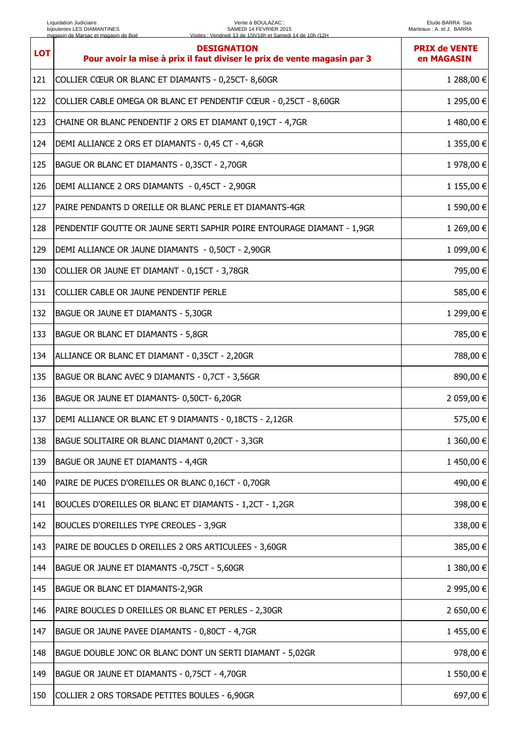## Vente à BOULAZAC : SAMEDI 14 FEVRIER 2015 Visites : Vendredi 13 de 15h/18h et Samedi 14 de 10h /12H

| <b>LOT</b> | <b>DESIGNATION</b><br>Pour avoir la mise à prix il faut diviser le prix de vente magasin par 3 | <b>PRIX de VENTE</b><br>en MAGASIN |
|------------|------------------------------------------------------------------------------------------------|------------------------------------|
| 121        | COLLIER CŒUR OR BLANC ET DIAMANTS - 0,25CT-8,60GR                                              | 1 288,00 €                         |
| 122        | COLLIER CABLE OMEGA OR BLANC ET PENDENTIF CŒUR - 0,25CT - 8,60GR                               | 1 295,00 €                         |
| 123        | CHAINE OR BLANC PENDENTIF 2 ORS ET DIAMANT 0,19CT - 4,7GR                                      | 1480,00 €                          |
| 124        | DEMI ALLIANCE 2 ORS ET DIAMANTS - 0,45 CT - 4,6GR                                              | 1 355,00 €                         |
| 125        | BAGUE OR BLANC ET DIAMANTS - 0,35CT - 2,70GR                                                   | 1 978,00 €                         |
| 126        | DEMI ALLIANCE 2 ORS DIAMANTS - 0,45CT - 2,90GR                                                 | 1 155,00 €                         |
| 127        | PAIRE PENDANTS D OREILLE OR BLANC PERLE ET DIAMANTS-4GR                                        | 1 590,00 €                         |
| 128        | PENDENTIF GOUTTE OR JAUNE SERTI SAPHIR POIRE ENTOURAGE DIAMANT - 1,9GR                         | 1 269,00 €                         |
| 129        | DEMI ALLIANCE OR JAUNE DIAMANTS - 0,50CT - 2,90GR                                              | 1 099,00 €                         |
| 130        | COLLIER OR JAUNE ET DIAMANT - 0,15CT - 3,78GR                                                  | 795,00 €                           |
| 131        | COLLIER CABLE OR JAUNE PENDENTIF PERLE                                                         | 585,00 €                           |
| 132        | BAGUE OR JAUNE ET DIAMANTS - 5,30GR                                                            | 1 299,00 €                         |
| 133        | BAGUE OR BLANC ET DIAMANTS - 5,8GR                                                             | 785,00 €                           |
| 134        | ALLIANCE OR BLANC ET DIAMANT - 0,35CT - 2,20GR                                                 | 788,00 €                           |
| 135        | BAGUE OR BLANC AVEC 9 DIAMANTS - 0,7CT - 3,56GR                                                | 890,00 €                           |
| 136        | BAGUE OR JAUNE ET DIAMANTS- 0,50CT- 6,20GR                                                     | 2 059,00 €                         |
| 137        | DEMI ALLIANCE OR BLANC ET 9 DIAMANTS - 0,18CTS - 2,12GR                                        | 575,00 €                           |
| 138        | BAGUE SOLITAIRE OR BLANC DIAMANT 0,20CT - 3,3GR                                                | 1 360,00 €                         |
| 139        | BAGUE OR JAUNE ET DIAMANTS - 4,4GR                                                             | 1450,00 €                          |
| 140        | PAIRE DE PUCES D'OREILLES OR BLANC 0,16CT - 0,70GR                                             | 490,00 €                           |
| 141        | BOUCLES D'OREILLES OR BLANC ET DIAMANTS - 1,2CT - 1,2GR                                        | 398,00 €                           |
| 142        | BOUCLES D'OREILLES TYPE CREOLES - 3,9GR                                                        | 338,00 €                           |
| 143        | PAIRE DE BOUCLES D OREILLES 2 ORS ARTICULEES - 3,60GR                                          | 385,00 €                           |
| 144        | BAGUE OR JAUNE ET DIAMANTS -0,75CT - 5,60GR                                                    | 1 380,00 €                         |
| 145        | BAGUE OR BLANC ET DIAMANTS-2,9GR                                                               | 2 995,00 €                         |
| 146        | PAIRE BOUCLES D OREILLES OR BLANC ET PERLES - 2,30GR                                           | 2 650,00 €                         |
| 147        | BAGUE OR JAUNE PAVEE DIAMANTS - 0,80CT - 4,7GR                                                 | 1455,00 €                          |
| 148        | BAGUE DOUBLE JONC OR BLANC DONT UN SERTI DIAMANT - 5,02GR                                      | 978,00 €                           |
| 149        | BAGUE OR JAUNE ET DIAMANTS - 0,75CT - 4,70GR                                                   | 1 550,00 €                         |
| 150        | COLLIER 2 ORS TORSADE PETITES BOULES - 6,90GR                                                  | 697,00 €                           |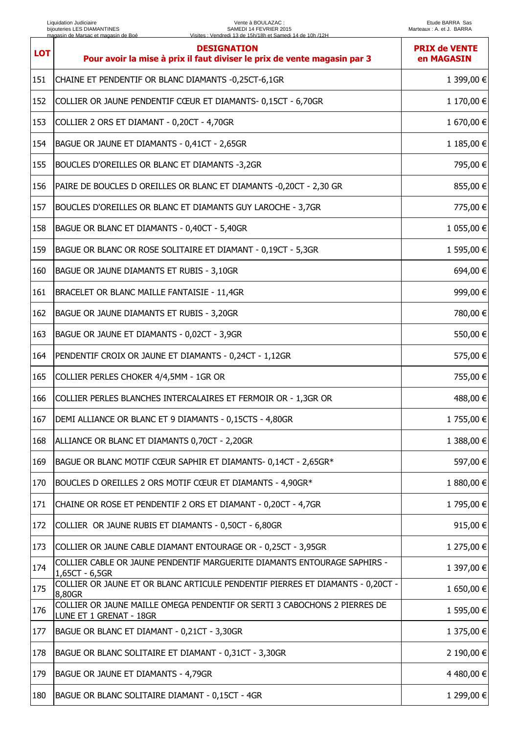## Vente à BOULAZAC : SAMEDI 14 FEVRIER 2015 Visites : Vendredi 13 de 15h/18h et Samedi 14 de 10h /12H

| <b>LOT</b> | <b>DESIGNATION</b><br>Pour avoir la mise à prix il faut diviser le prix de vente magasin par 3       | <b>PRIX de VENTE</b><br>en MAGASIN |
|------------|------------------------------------------------------------------------------------------------------|------------------------------------|
| 151        | CHAINE ET PENDENTIF OR BLANC DIAMANTS -0,25CT-6,1GR                                                  | 1 399,00 €                         |
| 152        | COLLIER OR JAUNE PENDENTIF CŒUR ET DIAMANTS- 0,15CT - 6,70GR                                         | 1 170,00 €                         |
| 153        | COLLIER 2 ORS ET DIAMANT - 0,20CT - 4,70GR                                                           | 1 670,00 €                         |
| 154        | BAGUE OR JAUNE ET DIAMANTS - 0,41CT - 2,65GR                                                         | 1 185,00 €                         |
| 155        | BOUCLES D'OREILLES OR BLANC ET DIAMANTS -3,2GR                                                       | 795,00 €                           |
| 156        | PAIRE DE BOUCLES D OREILLES OR BLANC ET DIAMANTS -0,20CT - 2,30 GR                                   | 855,00 €                           |
| 157        | BOUCLES D'OREILLES OR BLANC ET DIAMANTS GUY LAROCHE - 3,7GR                                          | 775,00 €                           |
| 158        | BAGUE OR BLANC ET DIAMANTS - 0,40CT - 5,40GR                                                         | 1 055,00 €                         |
| 159        | BAGUE OR BLANC OR ROSE SOLITAIRE ET DIAMANT - 0,19CT - 5,3GR                                         | 1 595,00 €                         |
| 160        | BAGUE OR JAUNE DIAMANTS ET RUBIS - 3,10GR                                                            | 694,00 €                           |
| 161        | BRACELET OR BLANC MAILLE FANTAISIE - 11,4GR                                                          | 999,00 €                           |
| 162        | BAGUE OR JAUNE DIAMANTS ET RUBIS - 3,20GR                                                            | 780,00 €                           |
| 163        | BAGUE OR JAUNE ET DIAMANTS - 0,02CT - 3,9GR                                                          | 550,00 €                           |
| 164        | PENDENTIF CROIX OR JAUNE ET DIAMANTS - 0,24CT - 1,12GR                                               | 575,00 €                           |
| 165        | COLLIER PERLES CHOKER 4/4,5MM - 1GR OR                                                               | 755,00 €                           |
| 166        | COLLIER PERLES BLANCHES INTERCALAIRES ET FERMOIR OR - 1,3GR OR                                       | 488,00 €                           |
| 167        | DEMI ALLIANCE OR BLANC ET 9 DIAMANTS - 0,15CTS - 4,80GR                                              | 1 755,00 €                         |
| 168        | ALLIANCE OR BLANC ET DIAMANTS 0,70CT - 2,20GR                                                        | 1 388,00 €                         |
| 169        | BAGUE OR BLANC MOTIF CŒUR SAPHIR ET DIAMANTS- 0,14CT - 2,65GR*                                       | 597,00 €                           |
| 170        | BOUCLES D OREILLES 2 ORS MOTIF CŒUR ET DIAMANTS - 4,90GR*                                            | 1 880,00 €                         |
| 171        | CHAINE OR ROSE ET PENDENTIF 2 ORS ET DIAMANT - 0,20CT - 4,7GR                                        | 1 795,00 €                         |
| 172        | COLLIER OR JAUNE RUBIS ET DIAMANTS - 0,50CT - 6,80GR                                                 | 915,00 €                           |
| 173        | COLLIER OR JAUNE CABLE DIAMANT ENTOURAGE OR - 0,25CT - 3,95GR                                        | 1 275,00 €                         |
| 174        | COLLIER CABLE OR JAUNE PENDENTIF MARGUERITE DIAMANTS ENTOURAGE SAPHIRS -<br>1,65CT - 6,5GR           | 1 397,00 €                         |
| 175        | COLLIER OR JAUNE ET OR BLANC ARTICULE PENDENTIF PIERRES ET DIAMANTS - 0,20CT -<br>8,80GR             | 1 650,00 €                         |
| 176        | COLLIER OR JAUNE MAILLE OMEGA PENDENTIF OR SERTI 3 CABOCHONS 2 PIERRES DE<br>LUNE ET 1 GRENAT - 18GR | 1 595,00 €                         |
| 177        | BAGUE OR BLANC ET DIAMANT - 0,21CT - 3,30GR                                                          | 1 375,00 €                         |
| 178        | BAGUE OR BLANC SOLITAIRE ET DIAMANT - 0,31CT - 3,30GR                                                | 2 190,00 €                         |
| 179        | BAGUE OR JAUNE ET DIAMANTS - 4,79GR                                                                  | 4 480,00 €                         |
| 180        | BAGUE OR BLANC SOLITAIRE DIAMANT - 0,15CT - 4GR                                                      | 1 299,00 €                         |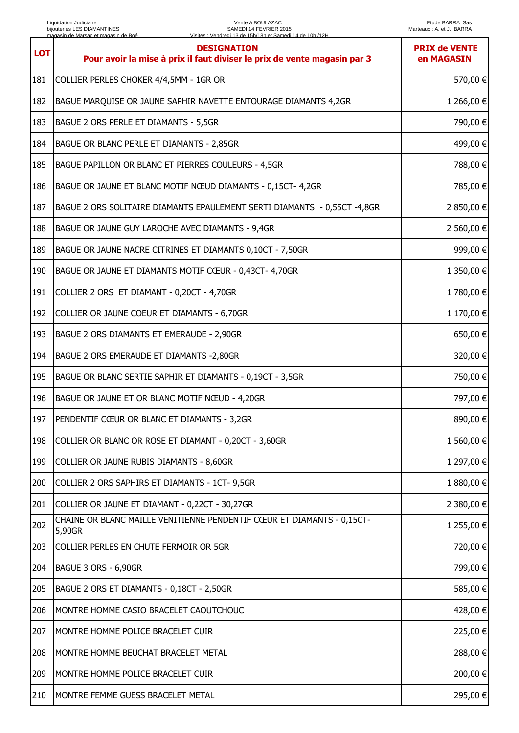| <b>LOT</b> | <b>DESIGNATION</b><br>Pour avoir la mise à prix il faut diviser le prix de vente magasin par 3 | <b>PRIX de VENTE</b><br>en MAGASIN |
|------------|------------------------------------------------------------------------------------------------|------------------------------------|
| 181        | COLLIER PERLES CHOKER 4/4,5MM - 1GR OR                                                         | 570,00 €                           |
| 182        | BAGUE MARQUISE OR JAUNE SAPHIR NAVETTE ENTOURAGE DIAMANTS 4,2GR                                | 1 266,00 €                         |
| 183        | BAGUE 2 ORS PERLE ET DIAMANTS - 5,5GR                                                          | 790,00 €                           |
| 184        | BAGUE OR BLANC PERLE ET DIAMANTS - 2,85GR                                                      | 499,00 €                           |
| 185        | BAGUE PAPILLON OR BLANC ET PIERRES COULEURS - 4,5GR                                            | 788,00 €                           |
| 186        | BAGUE OR JAUNE ET BLANC MOTIF NŒUD DIAMANTS - 0,15CT- 4,2GR                                    | 785,00 €                           |
| 187        | BAGUE 2 ORS SOLITAIRE DIAMANTS EPAULEMENT SERTI DIAMANTS - 0,55CT -4,8GR                       | 2 850,00 €                         |
| 188        | BAGUE OR JAUNE GUY LAROCHE AVEC DIAMANTS - 9,4GR                                               | 2 560,00 €                         |
| 189        | BAGUE OR JAUNE NACRE CITRINES ET DIAMANTS 0,10CT - 7,50GR                                      | 999,00 €                           |
| 190        | BAGUE OR JAUNE ET DIAMANTS MOTIF CŒUR - 0,43CT- 4,70GR                                         | 1 350,00 €                         |
| 191        | COLLIER 2 ORS ET DIAMANT - 0,20CT - 4,70GR                                                     | 1780,00 €                          |
| 192        | COLLIER OR JAUNE COEUR ET DIAMANTS - 6,70GR                                                    | 1 170,00 €                         |
| 193        | BAGUE 2 ORS DIAMANTS ET EMERAUDE - 2,90GR                                                      | 650,00 €                           |
| 194        | BAGUE 2 ORS EMERAUDE ET DIAMANTS -2,80GR                                                       | 320,00 €                           |
| 195        | BAGUE OR BLANC SERTIE SAPHIR ET DIAMANTS - 0,19CT - 3,5GR                                      | 750,00 €                           |
| 196        | BAGUE OR JAUNE ET OR BLANC MOTIF NŒUD - 4,20GR                                                 | 797,00 €                           |
| 197        | PENDENTIF CŒUR OR BLANC ET DIAMANTS - 3,2GR                                                    | 890,00 €                           |
| 198        | COLLIER OR BLANC OR ROSE ET DIAMANT - 0,20CT - 3,60GR                                          | 1 560,00 €                         |
| 199        | COLLIER OR JAUNE RUBIS DIAMANTS - 8,60GR                                                       | 1 297,00 €                         |
| 200        | COLLIER 2 ORS SAPHIRS ET DIAMANTS - 1CT- 9,5GR                                                 | 1 880,00 €                         |
| 201        | COLLIER OR JAUNE ET DIAMANT - 0,22CT - 30,27GR                                                 | 2 380,00 €                         |
| 202        | CHAINE OR BLANC MAILLE VENITIENNE PENDENTIF CŒUR ET DIAMANTS - 0,15CT-<br>5,90GR               | 1 255,00 €                         |
| 203        | COLLIER PERLES EN CHUTE FERMOIR OR 5GR                                                         | 720,00 €                           |
| 204        | BAGUE 3 ORS - 6,90GR                                                                           | 799,00 €                           |
| 205        | BAGUE 2 ORS ET DIAMANTS - 0,18CT - 2,50GR                                                      | 585,00 €                           |
| 206        | MONTRE HOMME CASIO BRACELET CAOUTCHOUC                                                         | 428,00 €                           |
| 207        | MONTRE HOMME POLICE BRACELET CUIR                                                              | 225,00 €                           |
| 208        | MONTRE HOMME BEUCHAT BRACELET METAL                                                            | 288,00 €                           |
| 209        | MONTRE HOMME POLICE BRACELET CUIR                                                              | 200,00 €                           |
| 210        | MONTRE FEMME GUESS BRACELET METAL                                                              | 295,00 €                           |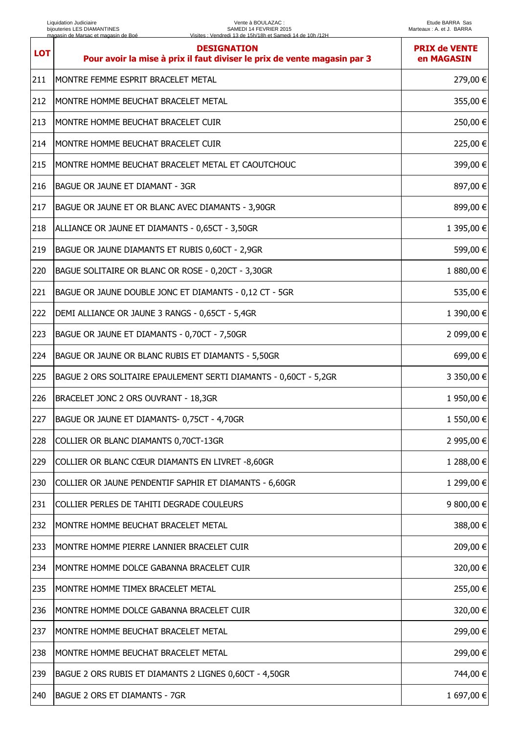| <b>LOT</b> | <b>DESIGNATION</b><br>Pour avoir la mise à prix il faut diviser le prix de vente magasin par 3 | <b>PRIX de VENTE</b><br>en MAGASIN |
|------------|------------------------------------------------------------------------------------------------|------------------------------------|
| 211        | MONTRE FEMME ESPRIT BRACELET METAL                                                             | 279,00 €                           |
| 212        | MONTRE HOMME BEUCHAT BRACELET METAL                                                            | 355,00€                            |
| 213        | MONTRE HOMME BEUCHAT BRACELET CUIR                                                             | 250,00 €                           |
| 214        | MONTRE HOMME BEUCHAT BRACELET CUIR                                                             | 225,00 €                           |
| 215        | MONTRE HOMME BEUCHAT BRACELET METAL ET CAOUTCHOUC                                              | 399,00 €                           |
| 216        | <b>BAGUE OR JAUNE ET DIAMANT - 3GR</b>                                                         | 897,00 €                           |
| 217        | BAGUE OR JAUNE ET OR BLANC AVEC DIAMANTS - 3,90GR                                              | 899,00 €                           |
| 218        | ALLIANCE OR JAUNE ET DIAMANTS - 0,65CT - 3,50GR                                                | 1 395,00 €                         |
| 219        | BAGUE OR JAUNE DIAMANTS ET RUBIS 0,60CT - 2,9GR                                                | 599,00 €                           |
| 220        | BAGUE SOLITAIRE OR BLANC OR ROSE - 0,20CT - 3,30GR                                             | 1 880,00 €                         |
| 221        | BAGUE OR JAUNE DOUBLE JONC ET DIAMANTS - 0,12 CT - 5GR                                         | 535,00€                            |
| 222        | DEMI ALLIANCE OR JAUNE 3 RANGS - 0,65CT - 5,4GR                                                | 1 390,00 €                         |
| 223        | BAGUE OR JAUNE ET DIAMANTS - 0,70CT - 7,50GR                                                   | 2 099,00 €                         |
| 224        | BAGUE OR JAUNE OR BLANC RUBIS ET DIAMANTS - 5,50GR                                             | 699,00 €                           |
| 225        | BAGUE 2 ORS SOLITAIRE EPAULEMENT SERTI DIAMANTS - 0,60CT - 5,2GR                               | 3 350,00 €                         |
| 226        | BRACELET JONC 2 ORS OUVRANT - 18,3GR                                                           | 1 950,00 €                         |
| 227        | BAGUE OR JAUNE ET DIAMANTS- 0,75CT - 4,70GR                                                    | 1 550,00 €                         |
| 228        | COLLIER OR BLANC DIAMANTS 0,70CT-13GR                                                          | 2 995,00 €                         |
| 229        | COLLIER OR BLANC CŒUR DIAMANTS EN LIVRET -8,60GR                                               | 1 288,00 €                         |
| 230        | COLLIER OR JAUNE PENDENTIF SAPHIR ET DIAMANTS - 6,60GR                                         | 1 299,00 €                         |
| 231        | COLLIER PERLES DE TAHITI DEGRADE COULEURS                                                      | 9 800,00 €                         |
| 232        | MONTRE HOMME BEUCHAT BRACELET METAL                                                            | 388,00 €                           |
| 233        | MONTRE HOMME PIERRE LANNIER BRACELET CUIR                                                      | 209,00€                            |
| 234        | MONTRE HOMME DOLCE GABANNA BRACELET CUIR                                                       | 320,00 €                           |
| 235        | MONTRE HOMME TIMEX BRACELET METAL                                                              | 255,00€                            |
| 236        | MONTRE HOMME DOLCE GABANNA BRACELET CUIR                                                       | 320,00 €                           |
| 237        | MONTRE HOMME BEUCHAT BRACELET METAL                                                            | 299,00 €                           |
| 238        | MONTRE HOMME BEUCHAT BRACELET METAL                                                            | 299,00€                            |
| 239        | BAGUE 2 ORS RUBIS ET DIAMANTS 2 LIGNES 0,60CT - 4,50GR                                         | 744,00 €                           |
| 240        | <b>BAGUE 2 ORS ET DIAMANTS - 7GR</b>                                                           | 1 697,00 €                         |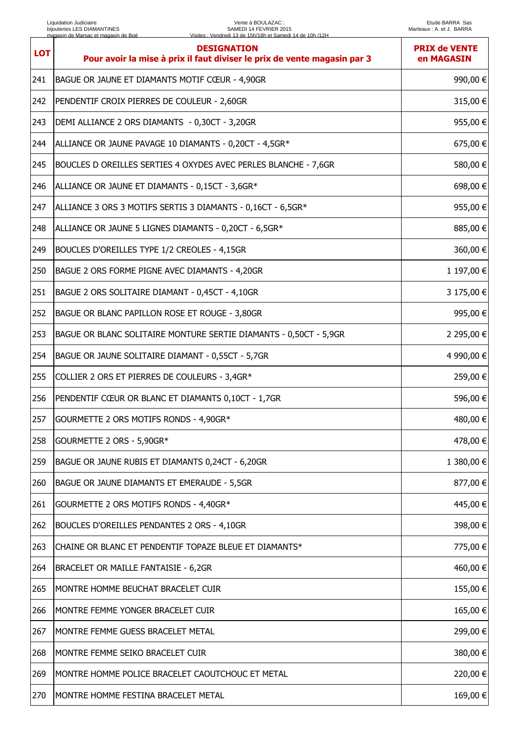| <b>LOT</b> | <b>DESIGNATION</b><br>Pour avoir la mise à prix il faut diviser le prix de vente magasin par 3 | <b>PRIX de VENTE</b><br>en MAGASIN |
|------------|------------------------------------------------------------------------------------------------|------------------------------------|
| 241        | BAGUE OR JAUNE ET DIAMANTS MOTIF CŒUR - 4,90GR                                                 | 990,00 €                           |
| 242        | PENDENTIF CROIX PIERRES DE COULEUR - 2,60GR                                                    | 315,00 €                           |
| 243        | DEMI ALLIANCE 2 ORS DIAMANTS - 0,30CT - 3,20GR                                                 | 955,00 €                           |
| 244        | ALLIANCE OR JAUNE PAVAGE 10 DIAMANTS - 0,20CT - 4,5GR*                                         | 675,00 €                           |
| 245        | BOUCLES D OREILLES SERTIES 4 OXYDES AVEC PERLES BLANCHE - 7,6GR                                | 580,00 €                           |
| 246        | ALLIANCE OR JAUNE ET DIAMANTS - 0,15CT - 3,6GR*                                                | 698,00 €                           |
| 247        | ALLIANCE 3 ORS 3 MOTIFS SERTIS 3 DIAMANTS - 0,16CT - 6,5GR*                                    | 955,00€                            |
| 248        | ALLIANCE OR JAUNE 5 LIGNES DIAMANTS - 0,20CT - 6,5GR*                                          | 885,00€                            |
| 249        | BOUCLES D'OREILLES TYPE 1/2 CREOLES - 4,15GR                                                   | 360,00€                            |
| 250        | BAGUE 2 ORS FORME PIGNE AVEC DIAMANTS - 4,20GR                                                 | 1 197,00 €                         |
| 251        | BAGUE 2 ORS SOLITAIRE DIAMANT - 0,45CT - 4,10GR                                                | 3 175,00 €                         |
| 252        | BAGUE OR BLANC PAPILLON ROSE ET ROUGE - 3,80GR                                                 | 995,00 €                           |
| 253        | BAGUE OR BLANC SOLITAIRE MONTURE SERTIE DIAMANTS - 0,50CT - 5,9GR                              | 2 295,00 €                         |
| 254        | BAGUE OR JAUNE SOLITAIRE DIAMANT - 0,55CT - 5,7GR                                              | 4 990,00 €                         |
| 255        | COLLIER 2 ORS ET PIERRES DE COULEURS - 3,4GR*                                                  | 259,00 €                           |
| 256        | PENDENTIF CŒUR OR BLANC ET DIAMANTS 0,10CT - 1,7GR                                             | 596,00 €                           |
| 257        | GOURMETTE 2 ORS MOTIFS RONDS - 4,90GR*                                                         | 480,00 €                           |
| 258        | GOURMETTE 2 ORS - 5,90GR*                                                                      | 478,00 €                           |
| 259        | BAGUE OR JAUNE RUBIS ET DIAMANTS 0,24CT - 6,20GR                                               | 1 380,00 €                         |
| 260        | BAGUE OR JAUNE DIAMANTS ET EMERAUDE - 5,5GR                                                    | 877,00 €                           |
| 261        | GOURMETTE 2 ORS MOTIFS RONDS - 4,40GR*                                                         | 445,00 €                           |
| 262        | BOUCLES D'OREILLES PENDANTES 2 ORS - 4,10GR                                                    | 398,00 €                           |
| 263        | CHAINE OR BLANC ET PENDENTIF TOPAZE BLEUE ET DIAMANTS*                                         | 775,00 €                           |
| 264        | BRACELET OR MAILLE FANTAISIE - 6,2GR                                                           | 460,00€                            |
| 265        | MONTRE HOMME BEUCHAT BRACELET CUIR                                                             | 155,00€                            |
| 266        | MONTRE FEMME YONGER BRACELET CUIR                                                              | 165,00€                            |
| 267        | MONTRE FEMME GUESS BRACELET METAL                                                              | 299,00€                            |
| 268        | MONTRE FEMME SEIKO BRACELET CUIR                                                               | 380,00€                            |
| 269        | MONTRE HOMME POLICE BRACELET CAOUTCHOUC ET METAL                                               | 220,00 €                           |
| 270        | MONTRE HOMME FESTINA BRACELET METAL                                                            | 169,00€                            |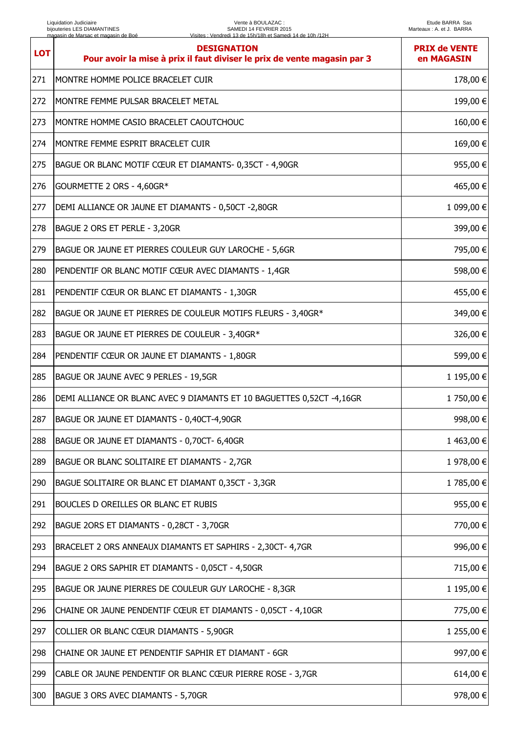| <b>LOT</b> | <b>DESIGNATION</b><br>Pour avoir la mise à prix il faut diviser le prix de vente magasin par 3 | <b>PRIX de VENTE</b><br>en MAGASIN |
|------------|------------------------------------------------------------------------------------------------|------------------------------------|
| 271        | MONTRE HOMME POLICE BRACELET CUIR                                                              | 178,00 €                           |
| 272        | MONTRE FEMME PULSAR BRACELET METAL                                                             | 199,00€                            |
| 273        | MONTRE HOMME CASIO BRACELET CAOUTCHOUC                                                         | 160,00 €                           |
| 274        | MONTRE FEMME ESPRIT BRACELET CUIR                                                              | 169,00 €                           |
| 275        | BAGUE OR BLANC MOTIF CŒUR ET DIAMANTS- 0,35CT - 4,90GR                                         | 955,00€                            |
| 276        | GOURMETTE 2 ORS - 4,60GR*                                                                      | 465,00 €                           |
| 277        | DEMI ALLIANCE OR JAUNE ET DIAMANTS - 0,50CT -2,80GR                                            | 1 099,00 €                         |
| 278        | BAGUE 2 ORS ET PERLE - 3,20GR                                                                  | 399,00 €                           |
| 279        | BAGUE OR JAUNE ET PIERRES COULEUR GUY LAROCHE - 5,6GR                                          | 795,00 €                           |
| 280        | PENDENTIF OR BLANC MOTIF CŒUR AVEC DIAMANTS - 1,4GR                                            | 598,00 €                           |
| 281        | PENDENTIF CŒUR OR BLANC ET DIAMANTS - 1,30GR                                                   | 455,00 €                           |
| 282        | BAGUE OR JAUNE ET PIERRES DE COULEUR MOTIFS FLEURS - 3,40GR*                                   | 349,00 €                           |
| 283        | BAGUE OR JAUNE ET PIERRES DE COULEUR - 3,40GR*                                                 | 326,00 €                           |
| 284        | PENDENTIF CŒUR OR JAUNE ET DIAMANTS - 1,80GR                                                   | 599,00 €                           |
| 285        | BAGUE OR JAUNE AVEC 9 PERLES - 19,5GR                                                          | 1 195,00 €                         |
| 286        | DEMI ALLIANCE OR BLANC AVEC 9 DIAMANTS ET 10 BAGUETTES 0,52CT -4,16GR                          | 1750,00 €                          |
| 287        | BAGUE OR JAUNE ET DIAMANTS - 0,40CT-4,90GR                                                     | 998,00 €                           |
| 288        | BAGUE OR JAUNE ET DIAMANTS - 0,70CT- 6,40GR                                                    | 1463,00 €                          |
| 289        | BAGUE OR BLANC SOLITAIRE ET DIAMANTS - 2,7GR                                                   | 1 978,00 €                         |
| 290        | BAGUE SOLITAIRE OR BLANC ET DIAMANT 0,35CT - 3,3GR                                             | 1785,00 €                          |
| 291        | BOUCLES D OREILLES OR BLANC ET RUBIS                                                           | 955,00 €                           |
| 292        | BAGUE 2ORS ET DIAMANTS - 0,28CT - 3,70GR                                                       | 770,00 €                           |
| 293        | BRACELET 2 ORS ANNEAUX DIAMANTS ET SAPHIRS - 2,30CT- 4,7GR                                     | 996,00€                            |
| 294        | BAGUE 2 ORS SAPHIR ET DIAMANTS - 0,05CT - 4,50GR                                               | 715,00 €                           |
| 295        | BAGUE OR JAUNE PIERRES DE COULEUR GUY LAROCHE - 8,3GR                                          | 1 195,00 €                         |
| 296        | CHAINE OR JAUNE PENDENTIF CŒUR ET DIAMANTS - 0,05CT - 4,10GR                                   | 775,00 €                           |
| 297        | COLLIER OR BLANC CŒUR DIAMANTS - 5,90GR                                                        | 1 255,00 €                         |
| 298        | CHAINE OR JAUNE ET PENDENTIF SAPHIR ET DIAMANT - 6GR                                           | 997,00€                            |
| 299        | CABLE OR JAUNE PENDENTIF OR BLANC CŒUR PIERRE ROSE - 3,7GR                                     | 614,00€                            |
| 300        | BAGUE 3 ORS AVEC DIAMANTS - 5,70GR                                                             | 978,00€                            |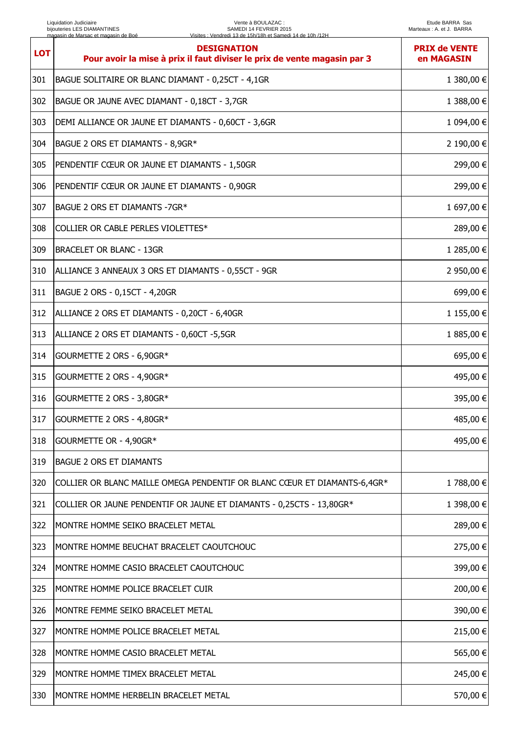| <b>LOT</b> | <b>DESIGNATION</b><br>Pour avoir la mise à prix il faut diviser le prix de vente magasin par 3 | <b>PRIX de VENTE</b><br>en MAGASIN |
|------------|------------------------------------------------------------------------------------------------|------------------------------------|
| 301        | BAGUE SOLITAIRE OR BLANC DIAMANT - 0,25CT - 4,1GR                                              | 1 380,00 €                         |
| 302        | BAGUE OR JAUNE AVEC DIAMANT - 0,18CT - 3,7GR                                                   | 1 388,00 €                         |
| 303        | DEMI ALLIANCE OR JAUNE ET DIAMANTS - 0,60CT - 3,6GR                                            | 1 094,00 €                         |
| 304        | BAGUE 2 ORS ET DIAMANTS - 8,9GR*                                                               | 2 190,00 €                         |
| 305        | PENDENTIF CŒUR OR JAUNE ET DIAMANTS - 1,50GR                                                   | 299,00 €                           |
| 306        | PENDENTIF CŒUR OR JAUNE ET DIAMANTS - 0,90GR                                                   | 299,00 €                           |
| 307        | BAGUE 2 ORS ET DIAMANTS -7GR*                                                                  | 1 697,00 €                         |
| 308        | COLLIER OR CABLE PERLES VIOLETTES*                                                             | 289,00 €                           |
| 309        | <b>BRACELET OR BLANC - 13GR</b>                                                                | 1 285,00 €                         |
| 310        | ALLIANCE 3 ANNEAUX 3 ORS ET DIAMANTS - 0,55CT - 9GR                                            | 2 950,00 €                         |
| 311        | BAGUE 2 ORS - 0,15CT - 4,20GR                                                                  | 699,00 €                           |
| 312        | ALLIANCE 2 ORS ET DIAMANTS - 0,20CT - 6,40GR                                                   | 1 155,00 €                         |
| 313        | ALLIANCE 2 ORS ET DIAMANTS - 0,60CT -5,5GR                                                     | 1 885,00 €                         |
| 314        | GOURMETTE 2 ORS - 6,90GR*                                                                      | 695,00€                            |
| 315        | GOURMETTE 2 ORS - 4,90GR*                                                                      | 495,00 €                           |
| 316        | GOURMETTE 2 ORS - 3,80GR*                                                                      | 395,00 €                           |
| 317        | GOURMETTE 2 ORS - 4,80GR*                                                                      | 485,00 €                           |
| 318        | GOURMETTE OR - 4,90GR*                                                                         | 495,00 €                           |
| 319        | <b>BAGUE 2 ORS ET DIAMANTS</b>                                                                 |                                    |
| 320        | COLLIER OR BLANC MAILLE OMEGA PENDENTIF OR BLANC CŒUR ET DIAMANTS-6,4GR*                       | 1788,00€                           |
| 321        | COLLIER OR JAUNE PENDENTIF OR JAUNE ET DIAMANTS - 0,25CTS - 13,80GR*                           | 1 398,00 €                         |
| 322        | MONTRE HOMME SEIKO BRACELET METAL                                                              | 289,00 €                           |
| 323        | MONTRE HOMME BEUCHAT BRACELET CAOUTCHOUC                                                       | 275,00 €                           |
| 324        | MONTRE HOMME CASIO BRACELET CAOUTCHOUC                                                         | 399,00 €                           |
| 325        | MONTRE HOMME POLICE BRACELET CUIR                                                              | 200,00€                            |
| 326        | MONTRE FEMME SEIKO BRACELET METAL                                                              | 390,00€                            |
| 327        | MONTRE HOMME POLICE BRACELET METAL                                                             | 215,00 €                           |
| 328        | MONTRE HOMME CASIO BRACELET METAL                                                              | 565,00€                            |
| 329        | MONTRE HOMME TIMEX BRACELET METAL                                                              | 245,00 €                           |
| 330        | MONTRE HOMME HERBELIN BRACELET METAL                                                           | 570,00€                            |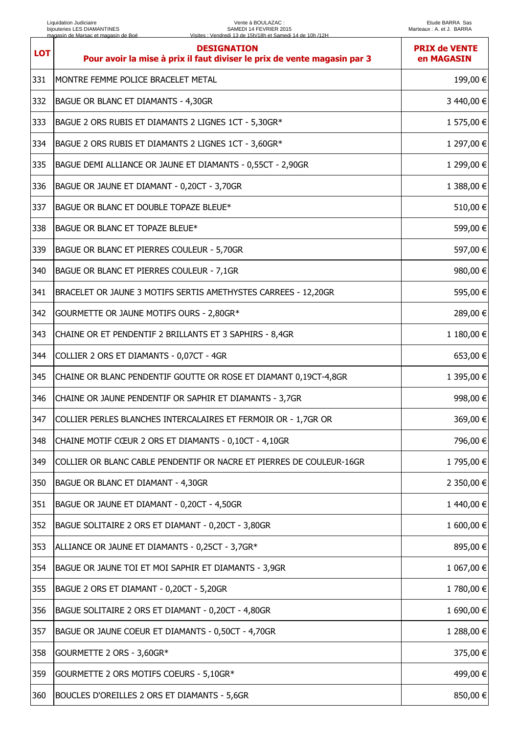| <b>LOT</b> | <b>DESIGNATION</b><br>Pour avoir la mise à prix il faut diviser le prix de vente magasin par 3 | <b>PRIX de VENTE</b><br>en MAGASIN |
|------------|------------------------------------------------------------------------------------------------|------------------------------------|
| 331        | MONTRE FEMME POLICE BRACELET METAL                                                             | 199,00 €                           |
| 332        | BAGUE OR BLANC ET DIAMANTS - 4,30GR                                                            | 3 440,00 €                         |
| 333        | BAGUE 2 ORS RUBIS ET DIAMANTS 2 LIGNES 1CT - 5,30GR*                                           | 1 575,00 €                         |
| 334        | BAGUE 2 ORS RUBIS ET DIAMANTS 2 LIGNES 1CT - 3,60GR*                                           | 1 297,00 €                         |
| 335        | BAGUE DEMI ALLIANCE OR JAUNE ET DIAMANTS - 0,55CT - 2,90GR                                     | 1 299,00 €                         |
| 336        | BAGUE OR JAUNE ET DIAMANT - 0,20CT - 3,70GR                                                    | 1 388,00 €                         |
| 337        | BAGUE OR BLANC ET DOUBLE TOPAZE BLEUE*                                                         | 510,00 €                           |
| 338        | BAGUE OR BLANC ET TOPAZE BLEUE*                                                                | 599,00 €                           |
| 339        | BAGUE OR BLANC ET PIERRES COULEUR - 5,70GR                                                     | 597,00 €                           |
| 340        | BAGUE OR BLANC ET PIERRES COULEUR - 7,1GR                                                      | 980,00 €                           |
| 341        | BRACELET OR JAUNE 3 MOTIFS SERTIS AMETHYSTES CARREES - 12,20GR                                 | 595,00 €                           |
| 342        | GOURMETTE OR JAUNE MOTIFS OURS - 2,80GR*                                                       | 289,00 €                           |
| 343        | CHAINE OR ET PENDENTIF 2 BRILLANTS ET 3 SAPHIRS - 8,4GR                                        | 1 180,00 €                         |
| 344        | COLLIER 2 ORS ET DIAMANTS - 0,07CT - 4GR                                                       | 653,00 €                           |
| 345        | CHAINE OR BLANC PENDENTIF GOUTTE OR ROSE ET DIAMANT 0,19CT-4,8GR                               | 1 395,00 €                         |
| 346        | CHAINE OR JAUNE PENDENTIF OR SAPHIR ET DIAMANTS - 3,7GR                                        | 998,00 €                           |
| 347        | COLLIER PERLES BLANCHES INTERCALAIRES ET FERMOIR OR - 1,7GR OR                                 | 369,00 €                           |
| 348        | CHAINE MOTIF CŒUR 2 ORS ET DIAMANTS - 0,10CT - 4,10GR                                          | 796,00 €                           |
| 349        | COLLIER OR BLANC CABLE PENDENTIF OR NACRE ET PIERRES DE COULEUR-16GR                           | 1 795,00 €                         |
| 350        | <b>BAGUE OR BLANC ET DIAMANT - 4,30GR</b>                                                      | 2 350,00 €                         |
| 351        | BAGUE OR JAUNE ET DIAMANT - 0,20CT - 4,50GR                                                    | 1440,00 €                          |
| 352        | BAGUE SOLITAIRE 2 ORS ET DIAMANT - 0,20CT - 3,80GR                                             | 1 600,00 €                         |
| 353        | ALLIANCE OR JAUNE ET DIAMANTS - 0,25CT - 3,7GR*                                                | 895,00 €                           |
| 354        | BAGUE OR JAUNE TOI ET MOI SAPHIR ET DIAMANTS - 3,9GR                                           | 1 067,00 €                         |
| 355        | BAGUE 2 ORS ET DIAMANT - 0,20CT - 5,20GR                                                       | 1780,00 €                          |
| 356        | BAGUE SOLITAIRE 2 ORS ET DIAMANT - 0,20CT - 4,80GR                                             | 1 690,00 €                         |
| 357        | BAGUE OR JAUNE COEUR ET DIAMANTS - 0,50CT - 4,70GR                                             | 1 288,00 €                         |
| 358        | GOURMETTE 2 ORS - 3,60GR*                                                                      | 375,00 €                           |
| 359        | GOURMETTE 2 ORS MOTIFS COEURS - 5,10GR*                                                        | 499,00 €                           |
| 360        | BOUCLES D'OREILLES 2 ORS ET DIAMANTS - 5,6GR                                                   | 850,00 €                           |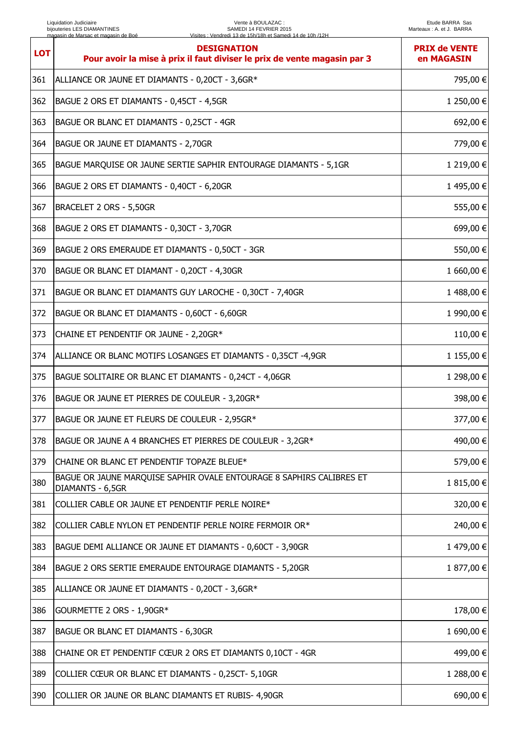| <b>LOT</b> | <b>DESIGNATION</b><br>Pour avoir la mise à prix il faut diviser le prix de vente magasin par 3 | <b>PRIX de VENTE</b><br>en MAGASIN |
|------------|------------------------------------------------------------------------------------------------|------------------------------------|
| 361        | ALLIANCE OR JAUNE ET DIAMANTS - 0,20CT - 3,6GR*                                                | 795,00 €                           |
| 362        | BAGUE 2 ORS ET DIAMANTS - 0,45CT - 4,5GR                                                       | 1 250,00 €                         |
| 363        | BAGUE OR BLANC ET DIAMANTS - 0,25CT - 4GR                                                      | 692,00 €                           |
| 364        | BAGUE OR JAUNE ET DIAMANTS - 2,70GR                                                            | 779,00 €                           |
| 365        | BAGUE MARQUISE OR JAUNE SERTIE SAPHIR ENTOURAGE DIAMANTS - 5,1GR                               | 1 219,00 €                         |
| 366        | BAGUE 2 ORS ET DIAMANTS - 0,40CT - 6,20GR                                                      | 1495,00 €                          |
| 367        | BRACELET 2 ORS - 5,50GR                                                                        | 555,00 €                           |
| 368        | BAGUE 2 ORS ET DIAMANTS - 0,30CT - 3,70GR                                                      | 699,00 €                           |
| 369        | BAGUE 2 ORS EMERAUDE ET DIAMANTS - 0,50CT - 3GR                                                | 550,00 €                           |
| 370        | BAGUE OR BLANC ET DIAMANT - 0,20CT - 4,30GR                                                    | 1 660,00 €                         |
| 371        | BAGUE OR BLANC ET DIAMANTS GUY LAROCHE - 0,30CT - 7,40GR                                       | 1488,00 €                          |
| 372        | BAGUE OR BLANC ET DIAMANTS - 0,60CT - 6,60GR                                                   | 1 990,00 €                         |
| 373        | CHAINE ET PENDENTIF OR JAUNE - 2,20GR*                                                         | 110,00 €                           |
| 374        | ALLIANCE OR BLANC MOTIFS LOSANGES ET DIAMANTS - 0,35CT -4,9GR                                  | 1 155,00 €                         |
| 375        | BAGUE SOLITAIRE OR BLANC ET DIAMANTS - 0,24CT - 4,06GR                                         | 1 298,00 €                         |
| 376        | BAGUE OR JAUNE ET PIERRES DE COULEUR - 3,20GR*                                                 | 398,00 €                           |
| 377        | BAGUE OR JAUNE ET FLEURS DE COULEUR - 2,95GR*                                                  | 377,00 €                           |
| 378        | BAGUE OR JAUNE A 4 BRANCHES ET PIERRES DE COULEUR - 3,2GR*                                     | 490,00 €                           |
| 379        | CHAINE OR BLANC ET PENDENTIF TOPAZE BLEUE*                                                     | 579,00 €                           |
| 380        | BAGUE OR JAUNE MARQUISE SAPHIR OVALE ENTOURAGE 8 SAPHIRS CALIBRES ET<br>DIAMANTS - 6,5GR       | 1 815,00 €                         |
| 381        | COLLIER CABLE OR JAUNE ET PENDENTIF PERLE NOIRE*                                               | 320,00 €                           |
| 382        | COLLIER CABLE NYLON ET PENDENTIF PERLE NOIRE FERMOIR OR*                                       | 240,00 €                           |
| 383        | BAGUE DEMI ALLIANCE OR JAUNE ET DIAMANTS - 0,60CT - 3,90GR                                     | 1 479,00 €                         |
| 384        | BAGUE 2 ORS SERTIE EMERAUDE ENTOURAGE DIAMANTS - 5,20GR                                        | 1 877,00 €                         |
| 385        | ALLIANCE OR JAUNE ET DIAMANTS - 0,20CT - 3,6GR*                                                |                                    |
| 386        | GOURMETTE 2 ORS - 1,90GR*                                                                      | 178,00 €                           |
| 387        | BAGUE OR BLANC ET DIAMANTS - 6,30GR                                                            | 1 690,00 €                         |
| 388        | CHAINE OR ET PENDENTIF CŒUR 2 ORS ET DIAMANTS 0,10CT - 4GR                                     | 499,00 €                           |
| 389        | COLLIER CŒUR OR BLANC ET DIAMANTS - 0,25CT- 5,10GR                                             | 1 288,00 €                         |
| 390        | COLLIER OR JAUNE OR BLANC DIAMANTS ET RUBIS- 4,90GR                                            | 690,00 €                           |